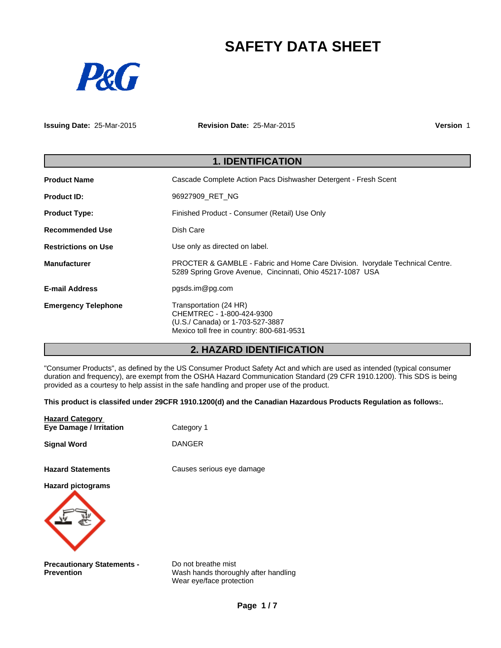# **SAFETY DATA SHEET**



**Issuing Date:** 25-Mar-2015 **Revision Date:** 25-Mar-2015 **Version** 1

| <b>1. IDENTIFICATION</b>   |                                                                                                                                            |  |
|----------------------------|--------------------------------------------------------------------------------------------------------------------------------------------|--|
| <b>Product Name</b>        | Cascade Complete Action Pacs Dishwasher Detergent - Fresh Scent                                                                            |  |
| <b>Product ID:</b>         | 96927909 RET NG                                                                                                                            |  |
| <b>Product Type:</b>       | Finished Product - Consumer (Retail) Use Only                                                                                              |  |
| <b>Recommended Use</b>     | Dish Care                                                                                                                                  |  |
| <b>Restrictions on Use</b> | Use only as directed on label.                                                                                                             |  |
| <b>Manufacturer</b>        | PROCTER & GAMBLE - Fabric and Home Care Division. Ivorydale Technical Centre.<br>5289 Spring Grove Avenue, Cincinnati, Ohio 45217-1087 USA |  |
| <b>E-mail Address</b>      | pgsds.im@pg.com                                                                                                                            |  |
| <b>Emergency Telephone</b> | Transportation (24 HR)<br>CHEMTREC - 1-800-424-9300<br>(U.S./ Canada) or 1-703-527-3887<br>Mexico toll free in country: 800-681-9531       |  |

# **2. HAZARD IDENTIFICATION**

"Consumer Products", as defined by the US Consumer Product Safety Act and which are used as intended (typical consumer duration and frequency), are exempt from the OSHA Hazard Communication Standard (29 CFR 1910.1200). This SDS is being provided as a courtesy to help assist in the safe handling and proper use of the product.

**This product is classifed under 29CFR 1910.1200(d) and the Canadian Hazardous Products Regulation as follows:.**

| <b>Hazard Category</b><br><b>Eye Damage / Irritation</b> | Category 1                                                                              |
|----------------------------------------------------------|-----------------------------------------------------------------------------------------|
| <b>Signal Word</b>                                       | <b>DANGER</b>                                                                           |
| <b>Hazard Statements</b>                                 | Causes serious eye damage                                                               |
| <b>Hazard pictograms</b>                                 |                                                                                         |
| <b>Precautionary Statements -</b><br><b>Prevention</b>   | Do not breathe mist<br>Wash hands thoroughly after handling<br>Wear eye/face protection |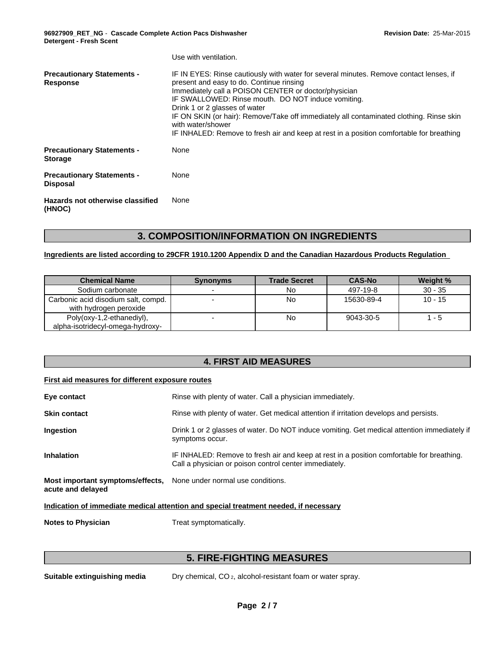**96927909\_RET\_NG** - **Cascade Complete Action Pacs Dishwasher Detergent - Fresh Scent**

|                                                      | Use with ventilation.                                                                                                                                                                                                                                                                                                                                                                                                                                                                         |
|------------------------------------------------------|-----------------------------------------------------------------------------------------------------------------------------------------------------------------------------------------------------------------------------------------------------------------------------------------------------------------------------------------------------------------------------------------------------------------------------------------------------------------------------------------------|
| <b>Precautionary Statements -</b><br>Response        | IF IN EYES: Rinse cautiously with water for several minutes. Remove contact lenses, if<br>present and easy to do. Continue rinsing<br>Immediately call a POISON CENTER or doctor/physician<br>IF SWALLOWED: Rinse mouth. DO NOT induce vomiting.<br>Drink 1 or 2 glasses of water<br>IF ON SKIN (or hair): Remove/Take off immediately all contaminated clothing. Rinse skin<br>with water/shower<br>IF INHALED: Remove to fresh air and keep at rest in a position comfortable for breathing |
| <b>Precautionary Statements -</b><br><b>Storage</b>  | None                                                                                                                                                                                                                                                                                                                                                                                                                                                                                          |
| <b>Precautionary Statements -</b><br><b>Disposal</b> | None                                                                                                                                                                                                                                                                                                                                                                                                                                                                                          |
| Hazards not otherwise classified<br>(HNOC)           | None                                                                                                                                                                                                                                                                                                                                                                                                                                                                                          |

# **3. COMPOSITION/INFORMATION ON INGREDIENTS**

### **Ingredients are listed according to 29CFR 1910.1200 Appendix D and the Canadian Hazardous Products Regulation**

| <b>Chemical Name</b>                                          | <b>Synonyms</b> | <b>Trade Secret</b> | <b>CAS-No</b> | Weight %  |
|---------------------------------------------------------------|-----------------|---------------------|---------------|-----------|
| Sodium carbonate                                              |                 | No.                 | 497-19-8      | $30 - 35$ |
| Carbonic acid disodium salt, compd.<br>with hydrogen peroxide |                 | No                  | 15630-89-4    | $10 - 15$ |
| Poly(oxy-1,2-ethanediyl),<br>alpha-isotridecyl-omega-hydroxy- |                 | No                  | 9043-30-5     | - 5       |

# **4. FIRST AID MEASURES**

#### **First aid measures for different exposure routes**

| Eye contact                                           | Rinse with plenty of water. Call a physician immediately.                                                                                           |
|-------------------------------------------------------|-----------------------------------------------------------------------------------------------------------------------------------------------------|
| <b>Skin contact</b>                                   | Rinse with plenty of water. Get medical attention if irritation develops and persists.                                                              |
| <b>Ingestion</b>                                      | Drink 1 or 2 glasses of water. Do NOT induce vomiting. Get medical attention immediately if<br>symptoms occur.                                      |
| <b>Inhalation</b>                                     | IF INHALED: Remove to fresh air and keep at rest in a position comfortable for breathing.<br>Call a physician or poison control center immediately. |
| Most important symptoms/effects,<br>acute and delayed | None under normal use conditions.                                                                                                                   |

**Indication of immediate medical attention and special treatment needed, if necessary**

**Notes to Physician** Treat symptomatically.

# **5. FIRE-FIGHTING MEASURES**

**Suitable extinguishing media** Dry chemical, CO 2, alcohol-resistant foam or water spray.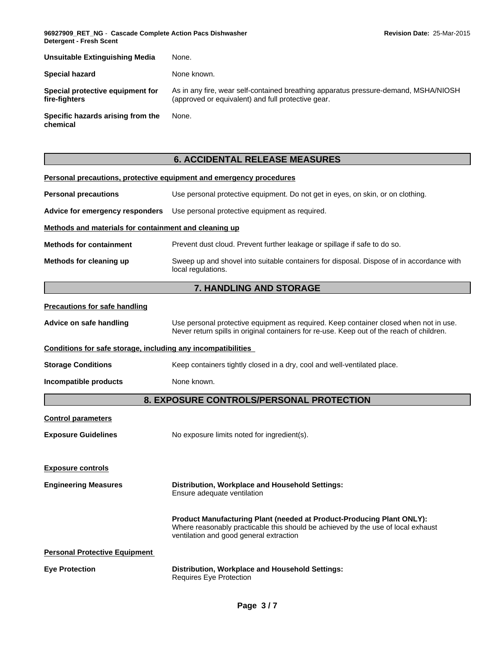**96927909\_RET\_NG** - **Cascade Complete Action Pacs Dishwasher Detergent - Fresh Scent**

| <b>Unsuitable Extinguishing Media</b>             | None.                                                                                                                                     |
|---------------------------------------------------|-------------------------------------------------------------------------------------------------------------------------------------------|
| Special hazard                                    | None known.                                                                                                                               |
| Special protective equipment for<br>fire-fiahters | As in any fire, wear self-contained breathing apparatus pressure-demand, MSHA/NIOSH<br>(approved or equivalent) and full protective gear. |
| Specific hazards arising from the<br>chemical     | None.                                                                                                                                     |

# **6. ACCIDENTAL RELEASE MEASURES**

|                                                              | Personal precautions, protective equipment and emergency procedures                                                                                                                                  |  |  |
|--------------------------------------------------------------|------------------------------------------------------------------------------------------------------------------------------------------------------------------------------------------------------|--|--|
| <b>Personal precautions</b>                                  | Use personal protective equipment. Do not get in eyes, on skin, or on clothing.                                                                                                                      |  |  |
| Advice for emergency responders                              | Use personal protective equipment as required.                                                                                                                                                       |  |  |
| Methods and materials for containment and cleaning up        |                                                                                                                                                                                                      |  |  |
| <b>Methods for containment</b>                               | Prevent dust cloud. Prevent further leakage or spillage if safe to do so.                                                                                                                            |  |  |
| Methods for cleaning up                                      | Sweep up and shovel into suitable containers for disposal. Dispose of in accordance with<br>local regulations.                                                                                       |  |  |
|                                                              | 7. HANDLING AND STORAGE                                                                                                                                                                              |  |  |
| <b>Precautions for safe handling</b>                         |                                                                                                                                                                                                      |  |  |
| Advice on safe handling                                      | Use personal protective equipment as required. Keep container closed when not in use.<br>Never return spills in original containers for re-use. Keep out of the reach of children.                   |  |  |
| Conditions for safe storage, including any incompatibilities |                                                                                                                                                                                                      |  |  |
| <b>Storage Conditions</b>                                    | Keep containers tightly closed in a dry, cool and well-ventilated place.                                                                                                                             |  |  |
| Incompatible products                                        | None known.                                                                                                                                                                                          |  |  |
|                                                              | <b>8. EXPOSURE CONTROLS/PERSONAL PROTECTION</b>                                                                                                                                                      |  |  |
| <b>Control parameters</b>                                    |                                                                                                                                                                                                      |  |  |
| <b>Exposure Guidelines</b>                                   | No exposure limits noted for ingredient(s).                                                                                                                                                          |  |  |
| <b>Exposure controls</b>                                     |                                                                                                                                                                                                      |  |  |
| <b>Engineering Measures</b>                                  | Distribution, Workplace and Household Settings:<br>Ensure adequate ventilation                                                                                                                       |  |  |
|                                                              | Product Manufacturing Plant (needed at Product-Producing Plant ONLY):<br>Where reasonably practicable this should be achieved by the use of local exhaust<br>ventilation and good general extraction |  |  |
| <b>Personal Protective Equipment</b>                         |                                                                                                                                                                                                      |  |  |
| <b>Eye Protection</b>                                        | Distribution, Workplace and Household Settings:<br>Requires Eye Protection                                                                                                                           |  |  |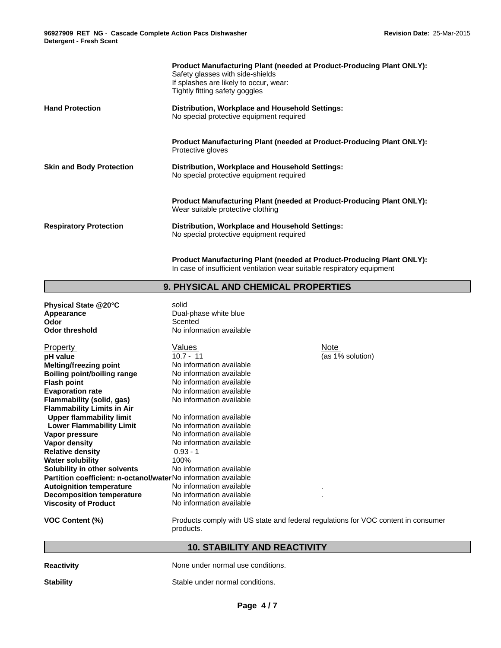|                                 | <b>Product Manufacturing Plant (needed at Product-Producing Plant ONLY):</b><br>Safety glasses with side-shields<br>If splashes are likely to occur, wear:<br>Tightly fitting safety goggles |
|---------------------------------|----------------------------------------------------------------------------------------------------------------------------------------------------------------------------------------------|
| <b>Hand Protection</b>          | Distribution, Workplace and Household Settings:<br>No special protective equipment required                                                                                                  |
|                                 | <b>Product Manufacturing Plant (needed at Product-Producing Plant ONLY):</b><br>Protective gloves                                                                                            |
| <b>Skin and Body Protection</b> | Distribution, Workplace and Household Settings:<br>No special protective equipment required                                                                                                  |
|                                 | <b>Product Manufacturing Plant (needed at Product-Producing Plant ONLY):</b><br>Wear suitable protective clothing                                                                            |
| <b>Respiratory Protection</b>   | Distribution, Workplace and Household Settings:<br>No special protective equipment required                                                                                                  |

**Product Manufacturing Plant (needed at Product-Producing Plant ONLY):** In case of insufficient ventilation wear suitable respiratory equipment

### **9. PHYSICAL AND CHEMICAL PROPERTIES**

| Physical State @20°C<br><b>Appearance</b><br>Odor<br><b>Odor threshold</b> | solid<br>Dual-phase white blue<br>Scented<br>No information available          |                  |
|----------------------------------------------------------------------------|--------------------------------------------------------------------------------|------------------|
| Property                                                                   | Values                                                                         | Note             |
| pH value                                                                   | $10.7 - 11$                                                                    | (as 1% solution) |
| <b>Melting/freezing point</b>                                              | No information available                                                       |                  |
| <b>Boiling point/boiling range</b>                                         | No information available                                                       |                  |
|                                                                            | No information available                                                       |                  |
| <b>Flash point</b>                                                         | No information available                                                       |                  |
| <b>Evaporation rate</b>                                                    |                                                                                |                  |
| Flammability (solid, gas)                                                  | No information available                                                       |                  |
| <b>Flammability Limits in Air</b>                                          |                                                                                |                  |
| <b>Upper flammability limit</b>                                            | No information available                                                       |                  |
| <b>Lower Flammability Limit</b>                                            | No information available                                                       |                  |
| Vapor pressure                                                             | No information available                                                       |                  |
| Vapor density                                                              | No information available                                                       |                  |
| <b>Relative density</b>                                                    | $0.93 - 1$                                                                     |                  |
| <b>Water solubility</b>                                                    | 100%                                                                           |                  |
| Solubility in other solvents                                               | No information available                                                       |                  |
| Partition coefficient: n-octanol/waterNo information available             |                                                                                |                  |
| <b>Autoignition temperature</b>                                            | No information available                                                       |                  |
| <b>Decomposition temperature</b>                                           | No information available                                                       |                  |
| <b>Viscosity of Product</b>                                                | No information available                                                       |                  |
| VOC Content (%)                                                            | Products comply with U.S. state and federal requisitions for VOC content in co |                  |

C Content (%) **Products comply with US state and federal regulations for VOC content in consumer** products.

### **10. STABILITY AND REACTIVITY**

| <b>Reactivity</b> |  |
|-------------------|--|
|                   |  |

**Reading None under normal use conditions.** 

**Stability** Stable under normal conditions.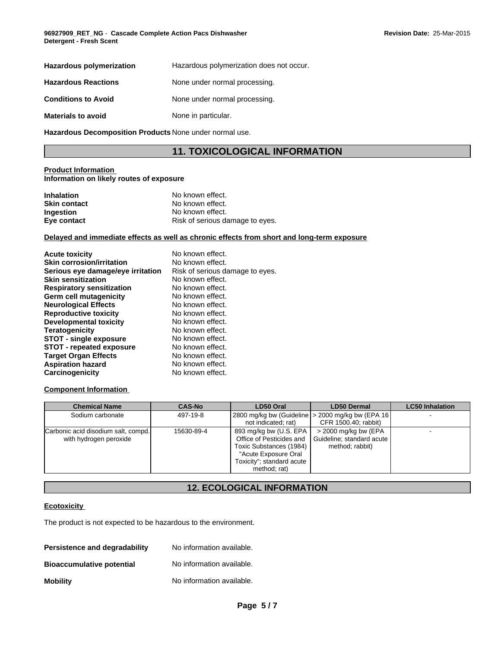| Hazardous polymerization   | Hazardous polymerization does not occur. |
|----------------------------|------------------------------------------|
| <b>Hazardous Reactions</b> | None under normal processing.            |
| <b>Conditions to Avoid</b> | None under normal processing.            |
| <b>Materials to avoid</b>  | None in particular.                      |

**Hazardous Decomposition Products** None under normal use.

# **11. TOXICOLOGICAL INFORMATION**

#### **Product Information Information on likely routes of exposure**

| <b>Inhalation</b>   | No known effect.                |
|---------------------|---------------------------------|
| <b>Skin contact</b> | No known effect.                |
| <b>Ingestion</b>    | No known effect.                |
| Eye contact         | Risk of serious damage to eyes. |

#### **Delayed and immediate effects as well as chronic effects from short and long-term exposure**

| <b>Acute toxicity</b>             | No known effect.                |
|-----------------------------------|---------------------------------|
| <b>Skin corrosion/irritation</b>  | No known effect.                |
| Serious eye damage/eye irritation | Risk of serious damage to eyes. |
| <b>Skin sensitization</b>         | No known effect.                |
| <b>Respiratory sensitization</b>  | No known effect.                |
| Germ cell mutagenicity            | No known effect.                |
| <b>Neurological Effects</b>       | No known effect.                |
| <b>Reproductive toxicity</b>      | No known effect.                |
| Developmental toxicity            | No known effect.                |
| <b>Teratogenicity</b>             | No known effect.                |
| <b>STOT - single exposure</b>     | No known effect.                |
| STOT - repeated exposure          | No known effect.                |
| <b>Target Organ Effects</b>       | No known effect.                |
| <b>Aspiration hazard</b>          | No known effect.                |
| Carcinogenicity                   | No known effect.                |

#### **Component Information**

| <b>Chemical Name</b>                                          | <b>CAS-No</b> | LD50 Oral                                                                                                                                            | <b>LD50 Dermal</b>                                                           | <b>LC50 Inhalation</b> |
|---------------------------------------------------------------|---------------|------------------------------------------------------------------------------------------------------------------------------------------------------|------------------------------------------------------------------------------|------------------------|
| Sodium carbonate                                              | 497-19-8      | not indicated; rat)                                                                                                                                  | 2800 mg/kg bw (Guideline   > 2000 mg/kg bw (EPA 16  <br>CFR 1500.40; rabbit) |                        |
| Carbonic acid disodium salt, compd.<br>with hydrogen peroxide | 15630-89-4    | 893 mg/kg bw (U.S. EPA  <br>Office of Pesticides and<br>Toxic Substances (1984)<br>"Acute Exposure Oral<br>Toxicity"; standard acute<br>method; rat) | > 2000 mg/kg bw (EPA<br>  Guideline; standard acute  <br>method; rabbit)     |                        |

# **12. ECOLOGICAL INFORMATION**

#### **Ecotoxicity**

The product is not expected to be hazardous to the environment.

| Persistence and degradability    | No information available. |
|----------------------------------|---------------------------|
| <b>Bioaccumulative potential</b> | No information available. |
| <b>Mobility</b>                  | No information available. |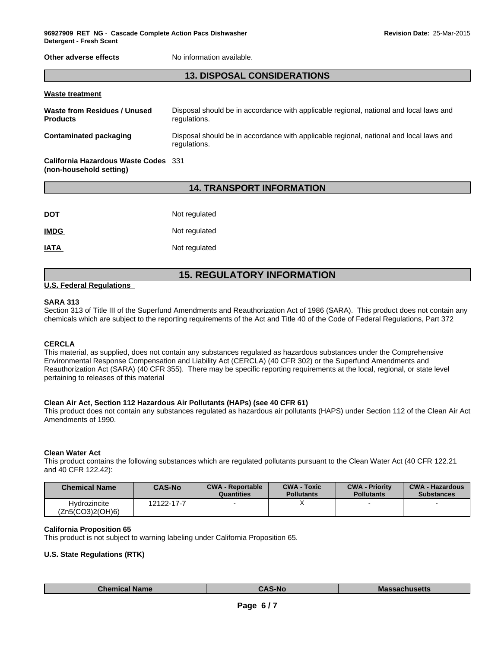**Other adverse effects** No information available.

# **13. DISPOSAL CONSIDERATIONS**

| <b>Waste treatment</b>                                          |                                                                                                        |
|-----------------------------------------------------------------|--------------------------------------------------------------------------------------------------------|
| Waste from Residues / Unused<br><b>Products</b>                 | Disposal should be in accordance with applicable regional, national and local laws and<br>regulations. |
| Contaminated packaging                                          | Disposal should be in accordance with applicable regional, national and local laws and<br>regulations. |
| California Hazardous Waste Codes 331<br>(non-household setting) |                                                                                                        |

#### **14. TRANSPORT INFORMATION**

| <b>DOT</b>  | Not regulated |
|-------------|---------------|
| <b>IMDG</b> | Not regulated |
| <b>IATA</b> | Not regulated |

## **15. REGULATORY INFORMATION**

#### **U.S. Federal Regulations**

#### **SARA 313**

Section 313 of Title III of the Superfund Amendments and Reauthorization Act of 1986 (SARA). This product does not contain any chemicals which are subject to the reporting requirements of the Act and Title 40 of the Code of Federal Regulations, Part 372

#### **CERCLA**

This material, as supplied, does not contain any substances regulated as hazardous substances under the Comprehensive Environmental Response Compensation and Liability Act (CERCLA) (40 CFR 302) or the Superfund Amendments and Reauthorization Act (SARA) (40 CFR 355). There may be specific reporting requirements at the local, regional, or state level pertaining to releases of this material

#### **Clean Air Act, Section 112 Hazardous Air Pollutants (HAPs) (see 40 CFR 61)**

This product does not contain any substances regulated as hazardous air pollutants (HAPS) under Section 112 of the Clean Air Act Amendments of 1990.

#### **Clean Water Act**

This product contains the following substances which are regulated pollutants pursuant to the Clean Water Act (40 CFR 122.21 and 40 CFR 122.42):

| Chemical Name                    | <b>CAS-No</b> | <b>CWA - Reportable</b><br>Quantities | <b>CWA - Toxic</b><br><b>Pollutants</b> | <b>CWA - Priority</b><br><b>Pollutants</b> | <b>CWA - Hazardous</b><br><b>Substances</b> |
|----------------------------------|---------------|---------------------------------------|-----------------------------------------|--------------------------------------------|---------------------------------------------|
| Hvdrozincite<br>(Zn5(CO3)2(OH)6) | 12122-17-7    |                                       |                                         |                                            |                                             |

#### **California Proposition 65**

This product is not subject to warning labeling under California Proposition 65.

#### **U.S. State Regulations (RTK)**

| <b>Chemical Name</b> | <b>CAS-No</b> | <b>Massachusetts</b> |
|----------------------|---------------|----------------------|
|----------------------|---------------|----------------------|